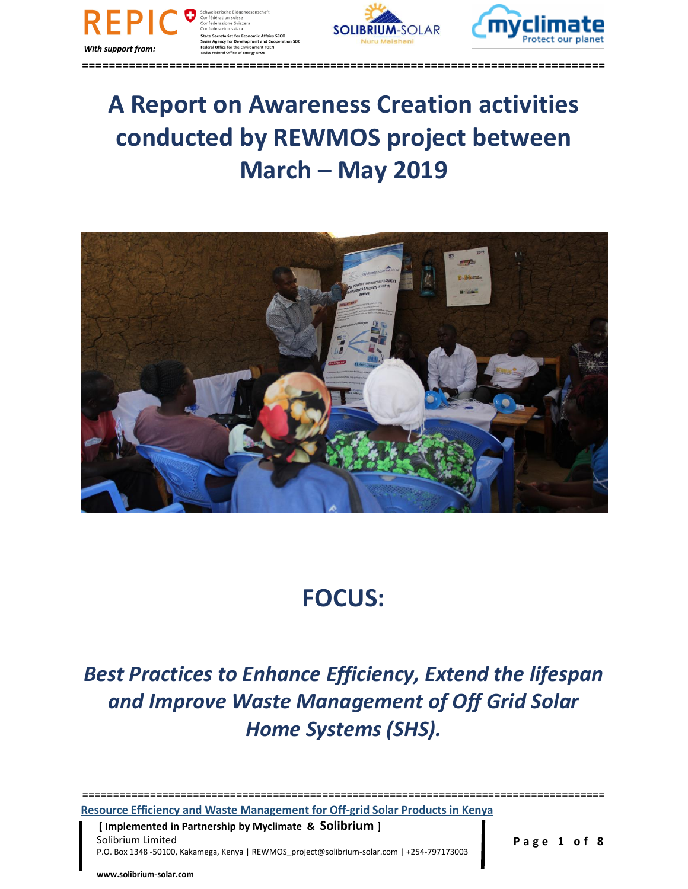



==============================================================================

# **A Report on Awareness Creation activities conducted by REWMOS project between March – May 2019**



# **FOCUS:**

# *Best Practices to Enhance Efficiency, Extend the lifespan and Improve Waste Management of Off Grid Solar Home Systems (SHS).*

**Resource Efficiency and Waste Management for Off-grid Solar Products in Kenya**

 **[ Implemented in Partnership by Myclimate & Solibrium ]** Solibrium Limited **Page 1 of 8** P.O. Box 1348 -50100, Kakamega, Kenya | REWMOS\_project@solibrium-solar.com | +254-797173003

==============================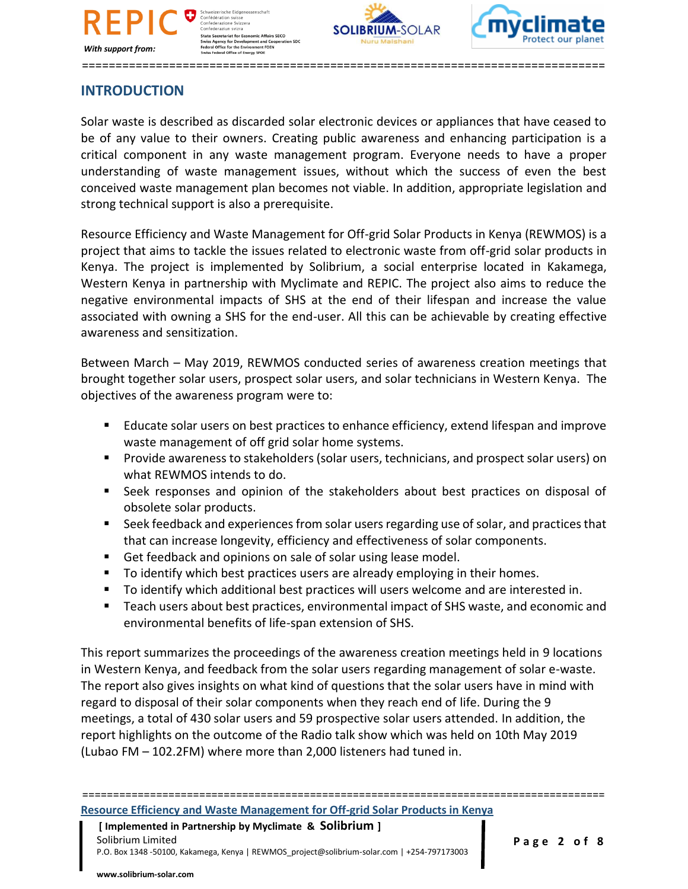

nweizerische Eidgenos:<br>nfédération suisse<br>nfederazione Svizzera Confederaziun svizra Comedierazion Syrzio<br>State Secretariat for Economic Affairs SECO<br>Swiss Agency for Development and Cooperat<br>Federal Office for the Environment FOEN<br>Swiss Federal Office of Energy SFOE





==============================================================================

## **INTRODUCTION**

Solar waste is described as discarded solar electronic devices or appliances that have ceased to be of any value to their owners. Creating public awareness and enhancing participation is a critical component in any waste management program. Everyone needs to have a proper understanding of waste management issues, without which the success of even the best conceived waste management plan becomes not viable. In addition, appropriate legislation and strong technical support is also a prerequisite.

Resource Efficiency and Waste Management for Off-grid Solar Products in Kenya (REWMOS) is a project that aims to tackle the issues related to electronic waste from off-grid solar products in Kenya. The project is implemented by Solibrium, a social enterprise located in Kakamega, Western Kenya in partnership with Myclimate and REPIC. The project also aims to reduce the negative environmental impacts of SHS at the end of their lifespan and increase the value associated with owning a SHS for the end-user. All this can be achievable by creating effective awareness and sensitization.

Between March – May 2019, REWMOS conducted series of awareness creation meetings that brought together solar users, prospect solar users, and solar technicians in Western Kenya. The objectives of the awareness program were to:

- Educate solar users on best practices to enhance efficiency, extend lifespan and improve waste management of off grid solar home systems.
- Provide awareness to stakeholders (solar users, technicians, and prospect solar users) on what REWMOS intends to do.
- Seek responses and opinion of the stakeholders about best practices on disposal of obsolete solar products.
- Seek feedback and experiences from solar users regarding use of solar, and practices that that can increase longevity, efficiency and effectiveness of solar components.
- Get feedback and opinions on sale of solar using lease model.
- To identify which best practices users are already employing in their homes.
- To identify which additional best practices will users welcome and are interested in.
- Teach users about best practices, environmental impact of SHS waste, and economic and environmental benefits of life-span extension of SHS.

This report summarizes the proceedings of the awareness creation meetings held in 9 locations in Western Kenya, and feedback from the solar users regarding management of solar e-waste. The report also gives insights on what kind of questions that the solar users have in mind with regard to disposal of their solar components when they reach end of life. During the 9 meetings, a total of 430 solar users and 59 prospective solar users attended. In addition, the report highlights on the outcome of the Radio talk show which was held on 10th May 2019 (Lubao FM – 102.2FM) where more than 2,000 listeners had tuned in.

# =====================================================================================

**Resource Efficiency and Waste Management for Off-grid Solar Products in Kenya**

 **[ Implemented in Partnership by Myclimate & Solibrium ]** Solibrium Limited **Page 2 of 8** P.O. Box 1348 -50100, Kakamega, Kenya | REWMOS\_project@solibrium-solar.com | +254-797173003

**www.solibrium-solar.com**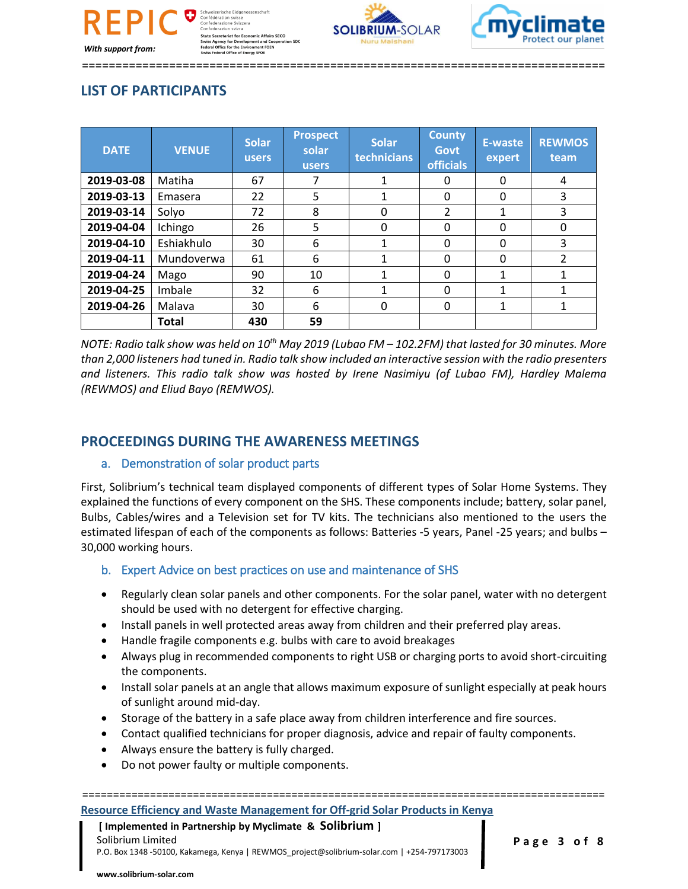



==============================================================================

## **LIST OF PARTICIPANTS**

| <b>DATE</b> | <b>VENUE</b> | <b>Solar</b><br><b>users</b> | <b>Prospect</b><br>solar<br><b>users</b> | <b>Solar</b><br>technicians | <b>County</b><br><b>Govt</b><br><b>officials</b> | E-waste<br>expert | <b>REWMOS</b><br>team |
|-------------|--------------|------------------------------|------------------------------------------|-----------------------------|--------------------------------------------------|-------------------|-----------------------|
| 2019-03-08  | Matiha       | 67                           | 7                                        |                             | Ω                                                | $\Omega$          | 4                     |
| 2019-03-13  | Emasera      | 22                           | 5                                        | 1                           | $\Omega$                                         | $\Omega$          | 3                     |
| 2019-03-14  | Solyo        | 72                           | 8                                        | 0                           | $\mathcal{P}$                                    | 1                 | 3                     |
| 2019-04-04  | Ichingo      | 26                           | 5                                        | 0                           | $\Omega$                                         | $\Omega$          | 0                     |
| 2019-04-10  | Eshiakhulo   | 30                           | 6                                        |                             | $\Omega$                                         | 0                 | 3                     |
| 2019-04-11  | Mundoverwa   | 61                           | 6                                        |                             | $\Omega$                                         | $\Omega$          | $\overline{2}$        |
| 2019-04-24  | Mago         | 90                           | 10                                       | 1                           | 0                                                |                   | 1                     |
| 2019-04-25  | Imbale       | 32                           | 6                                        | $\mathbf{1}$                | $\Omega$                                         | 1                 | 1                     |
| 2019-04-26  | Malava       | 30                           | 6                                        | 0                           | $\Omega$                                         | 1                 | 1                     |
|             | Total        | 430                          | 59                                       |                             |                                                  |                   |                       |

*NOTE: Radio talk show was held on 10th May 2019 (Lubao FM – 102.2FM) that lasted for 30 minutes. More than 2,000 listeners had tuned in. Radio talk show included an interactive session with the radio presenters and listeners. This radio talk show was hosted by Irene Nasimiyu (of Lubao FM), Hardley Malema (REWMOS) and Eliud Bayo (REMWOS).*

## **PROCEEDINGS DURING THE AWARENESS MEETINGS**

### a. Demonstration of solar product parts

First, Solibrium's technical team displayed components of different types of Solar Home Systems. They explained the functions of every component on the SHS. These components include; battery, solar panel, Bulbs, Cables/wires and a Television set for TV kits. The technicians also mentioned to the users the estimated lifespan of each of the components as follows: Batteries -5 years, Panel -25 years; and bulbs – 30,000 working hours.

### b. Expert Advice on best practices on use and maintenance of SHS

- Regularly clean solar panels and other components. For the solar panel, water with no detergent should be used with no detergent for effective charging.
- Install panels in well protected areas away from children and their preferred play areas.
- Handle fragile components e.g. bulbs with care to avoid breakages
- Always plug in recommended components to right USB or charging ports to avoid short-circuiting the components.
- Install solar panels at an angle that allows maximum exposure of sunlight especially at peak hours of sunlight around mid-day.
- Storage of the battery in a safe place away from children interference and fire sources.
- Contact qualified technicians for proper diagnosis, advice and repair of faulty components.
- Always ensure the battery is fully charged.
- Do not power faulty or multiple components.

## =====================================================================================

#### **Resource Efficiency and Waste Management for Off-grid Solar Products in Kenya**

#### **[ Implemented in Partnership by Myclimate & Solibrium ]** Solibrium Limited **Page 3 of 8** P.O. Box 1348 -50100, Kakamega, Kenya | REWMOS\_project@solibrium-solar.com | +254-797173003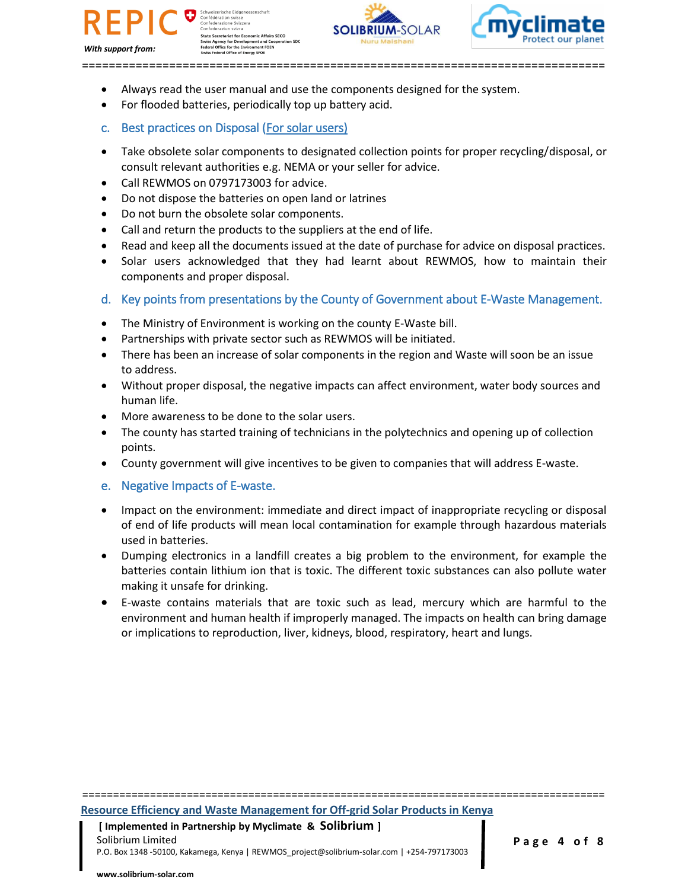





==============================================================================

- Always read the user manual and use the components designed for the system.
- For flooded batteries, periodically top up battery acid.
- c. Best practices on Disposal (For solar users)
- Take obsolete solar components to designated collection points for proper recycling/disposal, or consult relevant authorities e.g. NEMA or your seller for advice.
- Call REWMOS on 0797173003 for advice.
- Do not dispose the batteries on open land or latrines
- Do not burn the obsolete solar components.
- Call and return the products to the suppliers at the end of life.
- Read and keep all the documents issued at the date of purchase for advice on disposal practices.
- Solar users acknowledged that they had learnt about REWMOS, how to maintain their components and proper disposal.
- d. Key points from presentations by the County of Government about E-Waste Management.
- The Ministry of Environment is working on the county E-Waste bill.
- Partnerships with private sector such as REWMOS will be initiated.
- There has been an increase of solar components in the region and Waste will soon be an issue to address.
- Without proper disposal, the negative impacts can affect environment, water body sources and human life.
- More awareness to be done to the solar users.
- The county has started training of technicians in the polytechnics and opening up of collection points.
- County government will give incentives to be given to companies that will address E-waste.
- e. Negative Impacts of E-waste.
- Impact on the environment: immediate and direct impact of inappropriate recycling or disposal of end of life products will mean local contamination for example through hazardous materials used in batteries.
- Dumping electronics in a landfill creates a big problem to the environment, for example the batteries contain lithium ion that is toxic. The different toxic substances can also pollute water making it unsafe for drinking.
- E-waste contains materials that are toxic such as lead, mercury which are harmful to the environment and human health if improperly managed. The impacts on health can bring damage or implications to reproduction, liver, kidneys, blood, respiratory, heart and lungs.

**Resource Efficiency and Waste Management for Off-grid Solar Products in Kenya**

=====================================================================================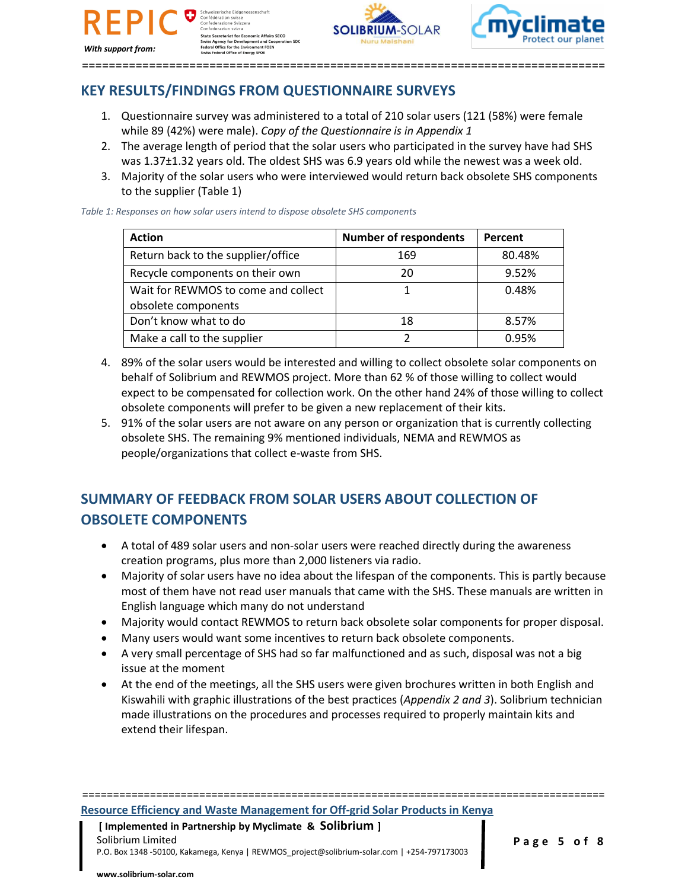ération suisse<br>erazione Svizzera Confederaziun svizr Comederazion System<br>State Secretariat for Economic Affairs SECO<br>Swiss Agency for Development and Cooperat<br>Federal Office for the Environment FOEN<br>Swiss Federal Office of Energy SFOE

*With support from:*

SOLIBRILIM-SOL

==============================================================================

## **KEY RESULTS/FINDINGS FROM QUESTIONNAIRE SURVEYS**

- 1. Questionnaire survey was administered to a total of 210 solar users (121 (58%) were female while 89 (42%) were male). *Copy of the Questionnaire is in Appendix 1*
- 2. The average length of period that the solar users who participated in the survey have had SHS was 1.37±1.32 years old. The oldest SHS was 6.9 years old while the newest was a week old.
- 3. Majority of the solar users who were interviewed would return back obsolete SHS components to the supplier (Table 1)

*Table 1: Responses on how solar users intend to dispose obsolete SHS components*

| <b>Action</b>                       | <b>Number of respondents</b> | Percent |
|-------------------------------------|------------------------------|---------|
| Return back to the supplier/office  | 169                          | 80.48%  |
| Recycle components on their own     | 20                           | 9.52%   |
| Wait for REWMOS to come and collect |                              | 0.48%   |
| obsolete components                 |                              |         |
| Don't know what to do               | 18                           | 8.57%   |
| Make a call to the supplier         |                              | 0.95%   |

- 4. 89% of the solar users would be interested and willing to collect obsolete solar components on behalf of Solibrium and REWMOS project. More than 62 % of those willing to collect would expect to be compensated for collection work. On the other hand 24% of those willing to collect obsolete components will prefer to be given a new replacement of their kits.
- 5. 91% of the solar users are not aware on any person or organization that is currently collecting obsolete SHS. The remaining 9% mentioned individuals, NEMA and REWMOS as people/organizations that collect e-waste from SHS.

## **SUMMARY OF FEEDBACK FROM SOLAR USERS ABOUT COLLECTION OF OBSOLETE COMPONENTS**

- A total of 489 solar users and non-solar users were reached directly during the awareness creation programs, plus more than 2,000 listeners via radio.
- Majority of solar users have no idea about the lifespan of the components. This is partly because most of them have not read user manuals that came with the SHS. These manuals are written in English language which many do not understand
- Majority would contact REWMOS to return back obsolete solar components for proper disposal.
- Many users would want some incentives to return back obsolete components.
- A very small percentage of SHS had so far malfunctioned and as such, disposal was not a big issue at the moment
- At the end of the meetings, all the SHS users were given brochures written in both English and Kiswahili with graphic illustrations of the best practices (*Appendix 2 and 3*). Solibrium technician made illustrations on the procedures and processes required to properly maintain kits and extend their lifespan.

=====================================================================================

## **Resource Efficiency and Waste Management for Off-grid Solar Products in Kenya**

 **[ Implemented in Partnership by Myclimate & Solibrium ]** Solibrium Limited **Page 5 of 8** P.O. Box 1348 -50100, Kakamega, Kenya | REWMOS\_project@solibrium-solar.com | +254-797173003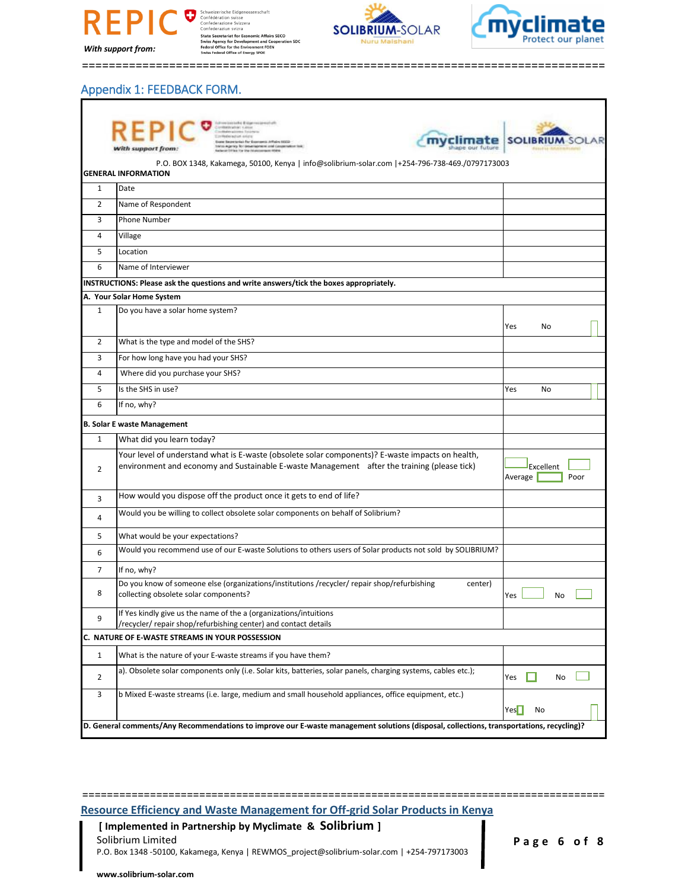

**schaft** Connected and Information<br>State Secretariat for Economic Affairs SECO<br>Swiss Agency for Development and Cooperation SDC<br>Federal Office for the Environment FOEN<br>Swiss Federal Office of Energy SFOE





==============================================================================

### Appendix 1: FEEDBACK FORM.

|                                                                                                                                          | List Restrict List Lister                                                                                                                                                                       |                 |  |  |  |  |
|------------------------------------------------------------------------------------------------------------------------------------------|-------------------------------------------------------------------------------------------------------------------------------------------------------------------------------------------------|-----------------|--|--|--|--|
|                                                                                                                                          | rist-for-Ex<br>ary they design harmonic and cancernations t<br>Nith support from:                                                                                                               | <b>SOLIB</b>    |  |  |  |  |
|                                                                                                                                          | P.O. BOX 1348, Kakamega, 50100, Kenya   info@solibrium-solar.com  +254-796-738-469./0797173003                                                                                                  |                 |  |  |  |  |
|                                                                                                                                          | <b>GENERAL INFORMATION</b>                                                                                                                                                                      |                 |  |  |  |  |
| $\mathbf{1}$                                                                                                                             | Date                                                                                                                                                                                            |                 |  |  |  |  |
| $\overline{2}$                                                                                                                           | Name of Respondent                                                                                                                                                                              |                 |  |  |  |  |
| 3                                                                                                                                        | <b>Phone Number</b>                                                                                                                                                                             |                 |  |  |  |  |
| 4                                                                                                                                        | Village                                                                                                                                                                                         |                 |  |  |  |  |
| 5                                                                                                                                        | Location                                                                                                                                                                                        |                 |  |  |  |  |
| 6                                                                                                                                        | Name of Interviewer                                                                                                                                                                             |                 |  |  |  |  |
|                                                                                                                                          | INSTRUCTIONS: Please ask the questions and write answers/tick the boxes appropriately.                                                                                                          |                 |  |  |  |  |
|                                                                                                                                          | A. Your Solar Home System                                                                                                                                                                       |                 |  |  |  |  |
| $\mathbf{1}$                                                                                                                             | Do you have a solar home system?                                                                                                                                                                |                 |  |  |  |  |
|                                                                                                                                          |                                                                                                                                                                                                 | Yes<br>No       |  |  |  |  |
| $\overline{2}$                                                                                                                           | What is the type and model of the SHS?                                                                                                                                                          |                 |  |  |  |  |
| 3                                                                                                                                        | For how long have you had your SHS?                                                                                                                                                             |                 |  |  |  |  |
| 4                                                                                                                                        | Where did you purchase your SHS?                                                                                                                                                                |                 |  |  |  |  |
| 5                                                                                                                                        | Is the SHS in use?                                                                                                                                                                              | Yes<br>No       |  |  |  |  |
| 6                                                                                                                                        | If no, why?                                                                                                                                                                                     |                 |  |  |  |  |
|                                                                                                                                          | <b>B. Solar E waste Management</b>                                                                                                                                                              |                 |  |  |  |  |
| $\mathbf{1}$                                                                                                                             | What did you learn today?                                                                                                                                                                       |                 |  |  |  |  |
| $\overline{2}$                                                                                                                           | Your level of understand what is E-waste (obsolete solar components)? E-waste impacts on health,<br>environment and economy and Sustainable E-waste Management after the training (please tick) | Excellent       |  |  |  |  |
|                                                                                                                                          |                                                                                                                                                                                                 | Poor<br>Average |  |  |  |  |
| 3                                                                                                                                        | How would you dispose off the product once it gets to end of life?                                                                                                                              |                 |  |  |  |  |
| 4                                                                                                                                        | Would you be willing to collect obsolete solar components on behalf of Solibrium?                                                                                                               |                 |  |  |  |  |
| 5                                                                                                                                        | What would be your expectations?                                                                                                                                                                |                 |  |  |  |  |
| 6                                                                                                                                        | Would you recommend use of our E-waste Solutions to others users of Solar products not sold by SOLIBRIUM?                                                                                       |                 |  |  |  |  |
| $\overline{7}$                                                                                                                           | If no, why?                                                                                                                                                                                     |                 |  |  |  |  |
| 8                                                                                                                                        | Do you know of someone else (organizations/institutions/recycler/repair shop/refurbishing<br>center)<br>collecting obsolete solar components?                                                   | Yes<br>No       |  |  |  |  |
| 9                                                                                                                                        | If Yes kindly give us the name of the a (organizations/intuitions<br>/recycler/ repair shop/refurbishing center) and contact details                                                            |                 |  |  |  |  |
|                                                                                                                                          | C. NATURE OF E-WASTE STREAMS IN YOUR POSSESSION                                                                                                                                                 |                 |  |  |  |  |
| $\mathbf{1}$                                                                                                                             | What is the nature of your E-waste streams if you have them?                                                                                                                                    |                 |  |  |  |  |
| 2                                                                                                                                        | a). Obsolete solar components only (i.e. Solar kits, batteries, solar panels, charging systems, cables etc.);                                                                                   | Yes<br>No       |  |  |  |  |
| 3                                                                                                                                        | b Mixed E-waste streams (i.e. large, medium and small household appliances, office equipment, etc.)                                                                                             | Yes<br>No       |  |  |  |  |
| D. General comments/Any Recommendations to improve our E-waste management solutions (disposal, collections, transportations, recycling)? |                                                                                                                                                                                                 |                 |  |  |  |  |

=====================================================================================

**Resource Efficiency and Waste Management for Off-grid Solar Products in Kenya**

 **[ Implemented in Partnership by Myclimate & Solibrium ]** Solibrium Limited **P a g e 6 o f 8** P.O. Box 1348 -50100, Kakamega, Kenya | REWMOS\_project@solibrium-solar.com | +254-797173003

**www.solibrium-solar.com**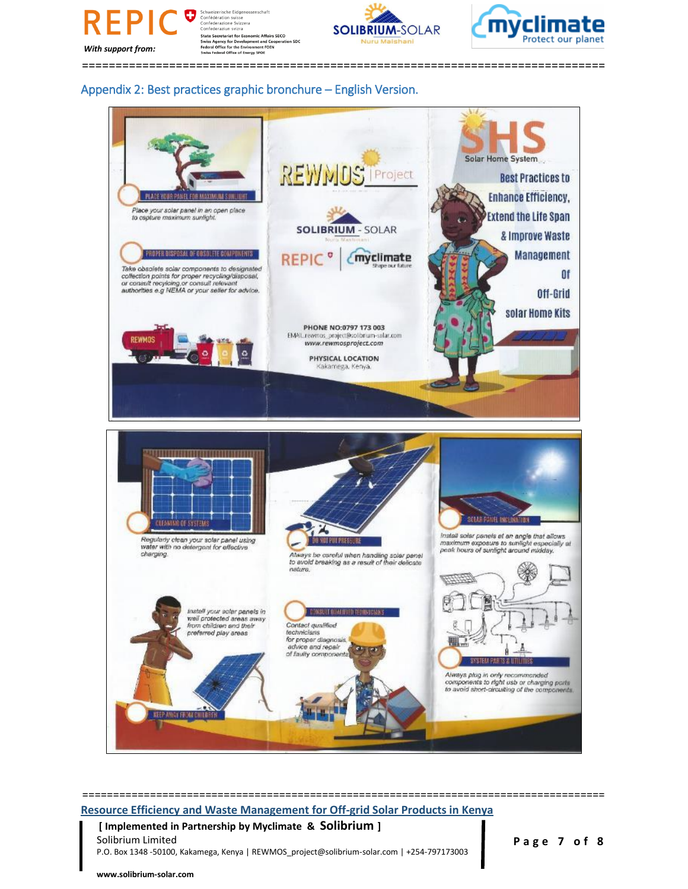

**Concederation System**<br>State Secretariat for Economic Affairs SECO<br>Swiss Agency for Development and Cooperat<br>Federal Office for the Environment FOEN<br>Swiss Federal Office of Energy SFOE





==============================================================================

#### Appendix 2: Best practices graphic bronchure – English Version.



# **Resource Efficiency and Waste Management for Off-grid Solar Products in Kenya**

=====================================================================================

 **[ Implemented in Partnership by Myclimate & Solibrium ]** Solibrium Limited **Page 7 of 8** 

P.O. Box 1348 -50100, Kakamega, Kenya | REWMOS\_project@solibrium-solar.com | +254-797173003